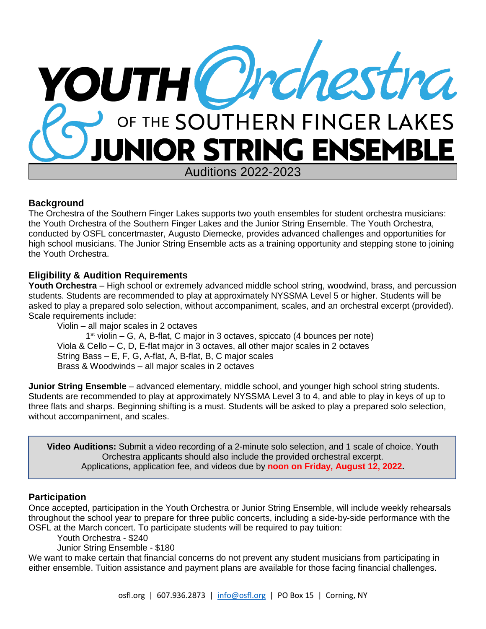

# **Background**

The Orchestra of the Southern Finger Lakes supports two youth ensembles for student orchestra musicians: the Youth Orchestra of the Southern Finger Lakes and the Junior String Ensemble. The Youth Orchestra, conducted by OSFL concertmaster, Augusto Diemecke, provides advanced challenges and opportunities for high school musicians. The Junior String Ensemble acts as a training opportunity and stepping stone to joining the Youth Orchestra.

# **Eligibility & Audition Requirements**

**Youth Orchestra** – High school or extremely advanced middle school string, woodwind, brass, and percussion students. Students are recommended to play at approximately NYSSMA Level 5 or higher. Students will be asked to play a prepared solo selection, without accompaniment, scales, and an orchestral excerpt (provided). Scale requirements include:

Violin – all major scales in 2 octaves 1 st violin – G, A, B-flat, C major in 3 octaves, spiccato (4 bounces per note) Viola & Cello – C, D, E-flat major in 3 octaves, all other major scales in 2 octaves String Bass – E, F, G, A-flat, A, B-flat, B, C major scales Brass & Woodwinds – all major scales in 2 octaves

**Junior String Ensemble** – advanced elementary, middle school, and younger high school string students. Students are recommended to play at approximately NYSSMA Level 3 to 4, and able to play in keys of up to three flats and sharps. Beginning shifting is a must. Students will be asked to play a prepared solo selection, without accompaniment, and scales.

**Video Auditions:** Submit a video recording of a 2-minute solo selection, and 1 scale of choice. Youth Orchestra applicants should also include the provided orchestral excerpt. Applications, application fee, and videos due by **noon on Friday, August 12, 2022.**

### **Participation**

Once accepted, participation in the Youth Orchestra or Junior String Ensemble, will include weekly rehearsals throughout the school year to prepare for three public concerts, including a side-by-side performance with the OSFL at the March concert. To participate students will be required to pay tuition:

Youth Orchestra - \$240

Junior String Ensemble - \$180

We want to make certain that financial concerns do not prevent any student musicians from participating in either ensemble. Tuition assistance and payment plans are available for those facing financial challenges.